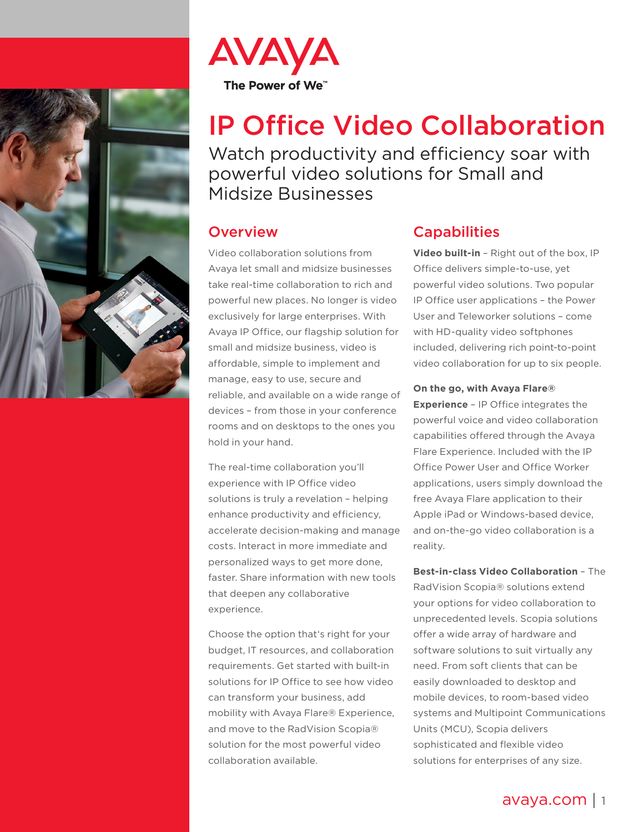



# IP Office Video Collaboration

Watch productivity and efficiency soar with powerful video solutions for Small and Midsize Businesses

## **Overview**

Video collaboration solutions from Avaya let small and midsize businesses take real-time collaboration to rich and powerful new places. No longer is video exclusively for large enterprises. With Avaya IP Office, our flagship solution for small and midsize business, video is affordable, simple to implement and manage, easy to use, secure and reliable, and available on a wide range of devices – from those in your conference rooms and on desktops to the ones you hold in your hand.

The real-time collaboration you'll experience with IP Office video solutions is truly a revelation – helping enhance productivity and efficiency, accelerate decision-making and manage costs. Interact in more immediate and personalized ways to get more done, faster. Share information with new tools that deepen any collaborative experience.

Choose the option that's right for your budget, IT resources, and collaboration requirements. Get started with built-in solutions for IP Office to see how video can transform your business, add mobility with Avaya Flare® Experience, and move to the RadVision Scopia® solution for the most powerful video collaboration available.

## **Capabilities**

**Video built-in** – Right out of the box, IP Office delivers simple-to-use, yet powerful video solutions. Two popular IP Office user applications – the Power User and Teleworker solutions – come with HD-quality video softphones included, delivering rich point-to-point video collaboration for up to six people.

#### **On the go, with Avaya Flare®**

**Experience** – IP Office integrates the powerful voice and video collaboration capabilities offered through the Avaya Flare Experience. Included with the IP Office Power User and Office Worker applications, users simply download the free Avaya Flare application to their Apple iPad or Windows-based device, and on-the-go video collaboration is a reality.

**Best-in-class Video Collaboration** – The RadVision Scopia® solutions extend your options for video collaboration to unprecedented levels. Scopia solutions offer a wide array of hardware and software solutions to suit virtually any need. From soft clients that can be easily downloaded to desktop and mobile devices, to room-based video systems and Multipoint Communications Units (MCU), Scopia delivers sophisticated and flexible video solutions for enterprises of any size.